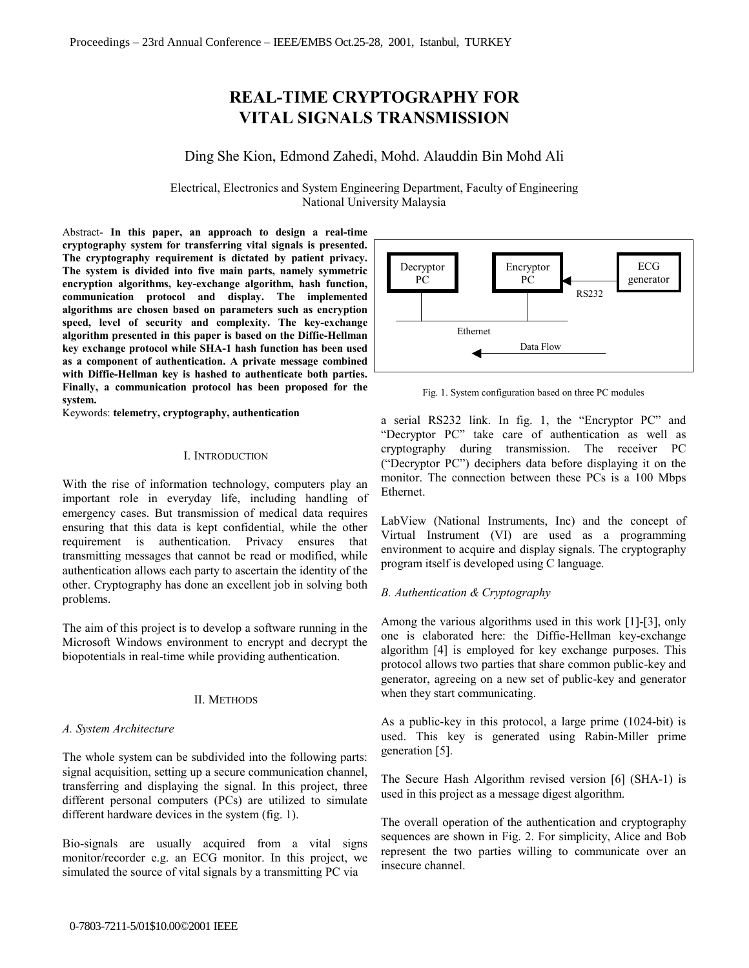# **REAL-TIME CRYPTOGRAPHY FOR VITAL SIGNALS TRANSMISSION**

# Ding She Kion, Edmond Zahedi, Mohd. Alauddin Bin Mohd Ali

Electrical, Electronics and System Engineering Department, Faculty of Engineering National University Malaysia

Abstract- **In this paper, an approach to design a real-time cryptography system for transferring vital signals is presented. The cryptography requirement is dictated by patient privacy. The system is divided into five main parts, namely symmetric encryption algorithms, key-exchange algorithm, hash function, communication protocol and display. The implemented algorithms are chosen based on parameters such as encryption speed, level of security and complexity. The key-exchange algorithm presented in this paper is based on the Diffie-Hellman key exchange protocol while SHA-1 hash function has been used as a component of authentication. A private message combined with Diffie-Hellman key is hashed to authenticate both parties. Finally, a communication protocol has been proposed for the system.** 

Keywords: **telemetry, cryptography, authentication**

#### I. INTRODUCTION

With the rise of information technology, computers play an important role in everyday life, including handling of emergency cases. But transmission of medical data requires ensuring that this data is kept confidential, while the other requirement is authentication. Privacy ensures that transmitting messages that cannot be read or modified, while authentication allows each party to ascertain the identity of the other. Cryptography has done an excellent job in solving both problems.

The aim of this project is to develop a software running in the Microsoft Windows environment to encrypt and decrypt the biopotentials in real-time while providing authentication.

### II. METHODS

#### *A. System Architecture*

The whole system can be subdivided into the following parts: signal acquisition, setting up a secure communication channel, transferring and displaying the signal. In this project, three different personal computers (PCs) are utilized to simulate different hardware devices in the system (fig. 1).

Bio-signals are usually acquired from a vital signs monitor/recorder e.g. an ECG monitor. In this project, we simulated the source of vital signals by a transmitting PC via



Fig. 1. System configuration based on three PC modules

a serial RS232 link. In fig. 1, the "Encryptor PC" and "Decryptor PC" take care of authentication as well as cryptography during transmission. The receiver PC ("Decryptor PC") deciphers data before displaying it on the monitor. The connection between these PCs is a 100 Mbps Ethernet.

LabView (National Instruments, Inc) and the concept of Virtual Instrument (VI) are used as a programming environment to acquire and display signals. The cryptography program itself is developed using C language.

#### *B. Authentication & Cryptography*

Among the various algorithms used in this work [1]-[3], only one is elaborated here: the Diffie-Hellman key-exchange algorithm [4] is employed for key exchange purposes. This protocol allows two parties that share common public-key and generator, agreeing on a new set of public-key and generator when they start communicating.

As a public-key in this protocol, a large prime (1024-bit) is used. This key is generated using Rabin-Miller prime generation [5].

The Secure Hash Algorithm revised version [6] (SHA-1) is used in this project as a message digest algorithm.

The overall operation of the authentication and cryptography sequences are shown in Fig. 2. For simplicity, Alice and Bob represent the two parties willing to communicate over an insecure channel.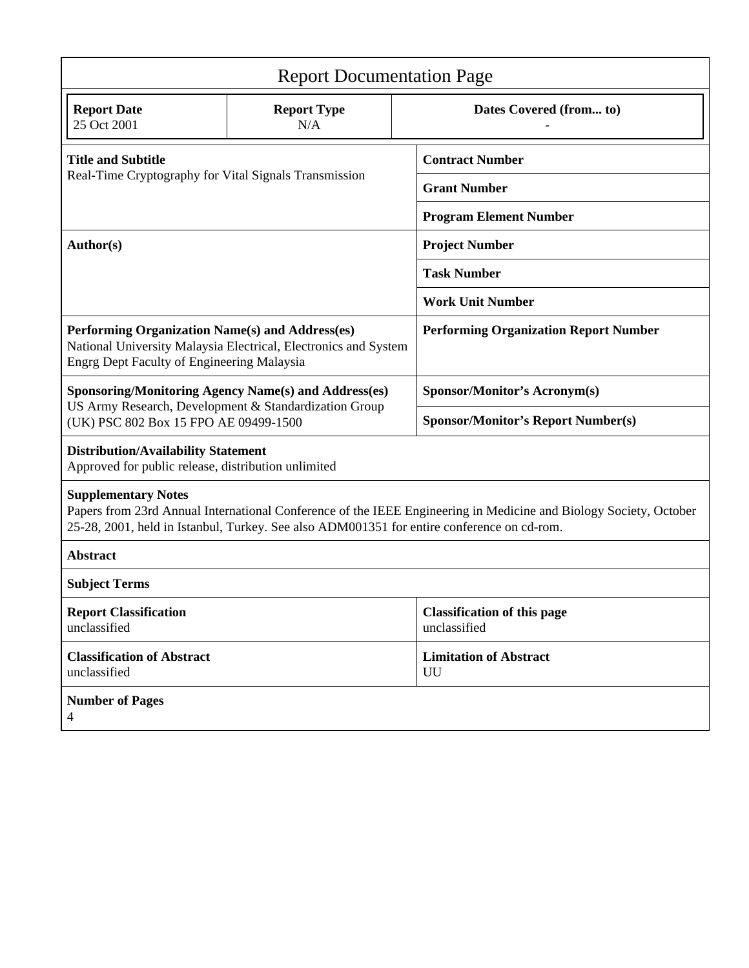| <b>Report Documentation Page</b>                                                                                                                                                                                                              |                           |                                                    |
|-----------------------------------------------------------------------------------------------------------------------------------------------------------------------------------------------------------------------------------------------|---------------------------|----------------------------------------------------|
| <b>Report Date</b><br>25 Oct 2001                                                                                                                                                                                                             | <b>Report Type</b><br>N/A | Dates Covered (from to)                            |
| <b>Title and Subtitle</b><br>Real-Time Cryptography for Vital Signals Transmission                                                                                                                                                            |                           | <b>Contract Number</b>                             |
|                                                                                                                                                                                                                                               |                           | <b>Grant Number</b>                                |
|                                                                                                                                                                                                                                               |                           | <b>Program Element Number</b>                      |
| Author(s)                                                                                                                                                                                                                                     |                           | <b>Project Number</b>                              |
|                                                                                                                                                                                                                                               |                           | <b>Task Number</b>                                 |
|                                                                                                                                                                                                                                               |                           | <b>Work Unit Number</b>                            |
| Performing Organization Name(s) and Address(es)<br>National University Malaysia Electrical, Electronics and System<br>Engrg Dept Faculty of Engineering Malaysia                                                                              |                           | <b>Performing Organization Report Number</b>       |
| <b>Sponsoring/Monitoring Agency Name(s) and Address(es)</b>                                                                                                                                                                                   |                           | <b>Sponsor/Monitor's Acronym(s)</b>                |
| US Army Research, Development & Standardization Group<br>(UK) PSC 802 Box 15 FPO AE 09499-1500                                                                                                                                                |                           | <b>Sponsor/Monitor's Report Number(s)</b>          |
| <b>Distribution/Availability Statement</b><br>Approved for public release, distribution unlimited                                                                                                                                             |                           |                                                    |
| <b>Supplementary Notes</b><br>Papers from 23rd Annual International Conference of the IEEE Engineering in Medicine and Biology Society, October<br>25-28, 2001, held in Istanbul, Turkey. See also ADM001351 for entire conference on cd-rom. |                           |                                                    |
| <b>Abstract</b>                                                                                                                                                                                                                               |                           |                                                    |
| <b>Subject Terms</b>                                                                                                                                                                                                                          |                           |                                                    |
| <b>Report Classification</b><br>unclassified                                                                                                                                                                                                  |                           | <b>Classification of this page</b><br>unclassified |
| <b>Classification of Abstract</b><br>unclassified                                                                                                                                                                                             |                           | <b>Limitation of Abstract</b><br>UU                |
| <b>Number of Pages</b><br>$\overline{4}$                                                                                                                                                                                                      |                           |                                                    |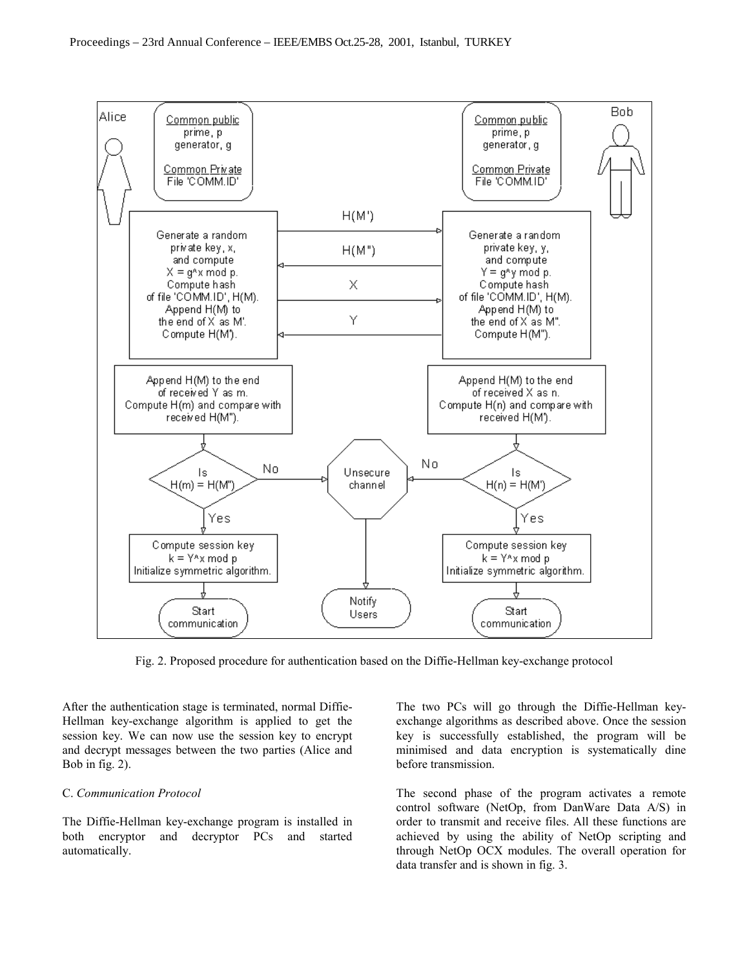

Fig. 2. Proposed procedure for authentication based on the Diffie-Hellman key-exchange protocol

After the authentication stage is terminated, normal Diffie-Hellman key-exchange algorithm is applied to get the session key. We can now use the session key to encrypt and decrypt messages between the two parties (Alice and Bob in fig. 2).

#### C. *Communication Protocol*

The Diffie-Hellman key-exchange program is installed in both encryptor and decryptor PCs and started automatically.

The two PCs will go through the Diffie-Hellman keyexchange algorithms as described above. Once the session key is successfully established, the program will be minimised and data encryption is systematically dine before transmission.

The second phase of the program activates a remote control software (NetOp, from DanWare Data A/S) in order to transmit and receive files. All these functions are achieved by using the ability of NetOp scripting and through NetOp OCX modules. The overall operation for data transfer and is shown in fig. 3.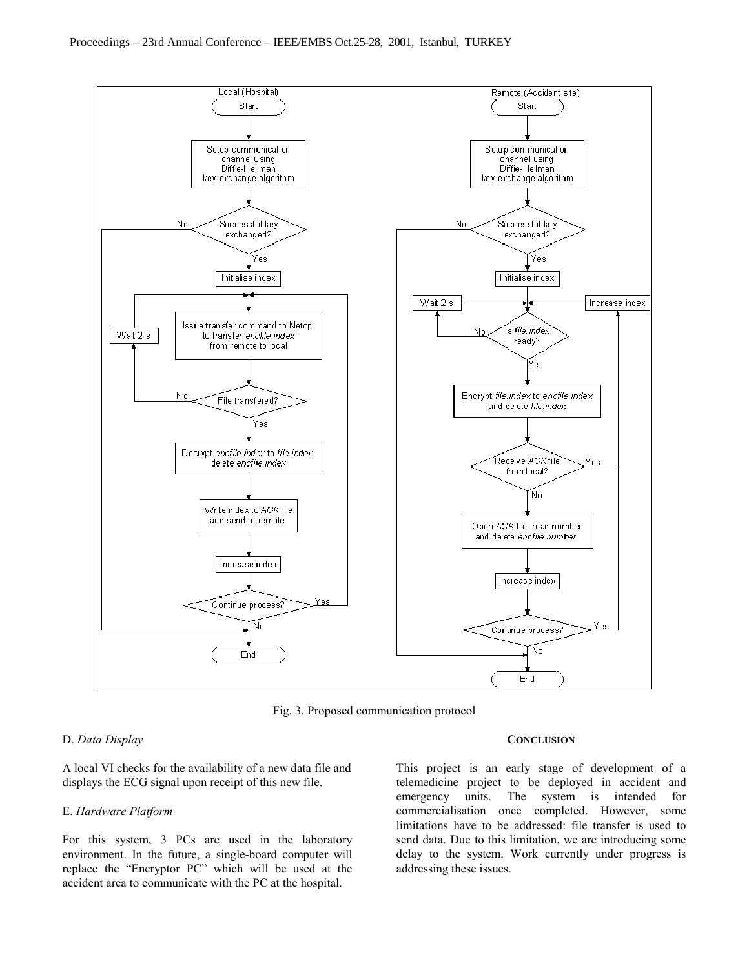

Fig. 3. Proposed communication protocol

# D. *Data Display*

A local VI checks for the availability of a new data file and displays the ECG signal upon receipt of this new file.

# E. *Hardware Platform*

For this system, 3 PCs are used in the laboratory environment. In the future, a single-board computer will replace the "Encryptor PC" which will be used at the accident area to communicate with the PC at the hospital.

# **CONCLUSION**

This project is an early stage of development of a telemedicine project to be deployed in accident and emergency units. The system is intended for commercialisation once completed. However, some limitations have to be addressed: file transfer is used to send data. Due to this limitation, we are introducing some delay to the system. Work currently under progress is addressing these issues.